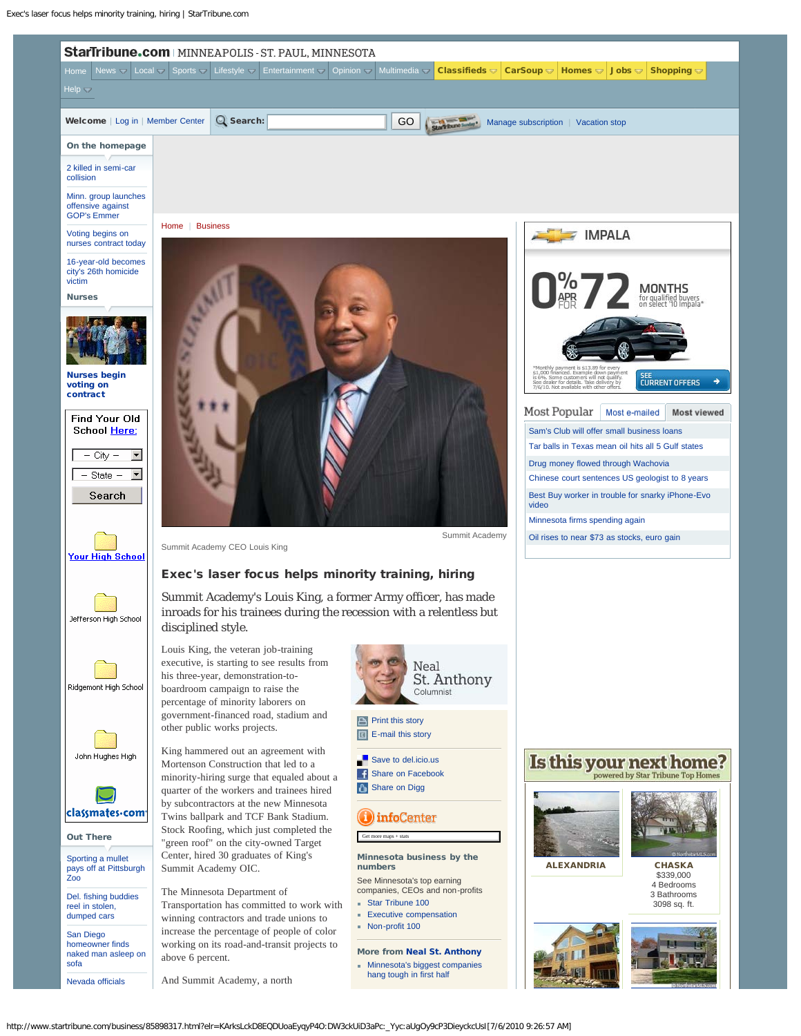<span id="page-0-0"></span>

http://www.startribune.com/business/85898317.html?elr=KArksLckD8EQDUoaEyqyP4O:DW3ckUiD3aPc:\_Yyc:aUgOy9cP3DieyckcUsI[7/6/2010 9:26:57 AM]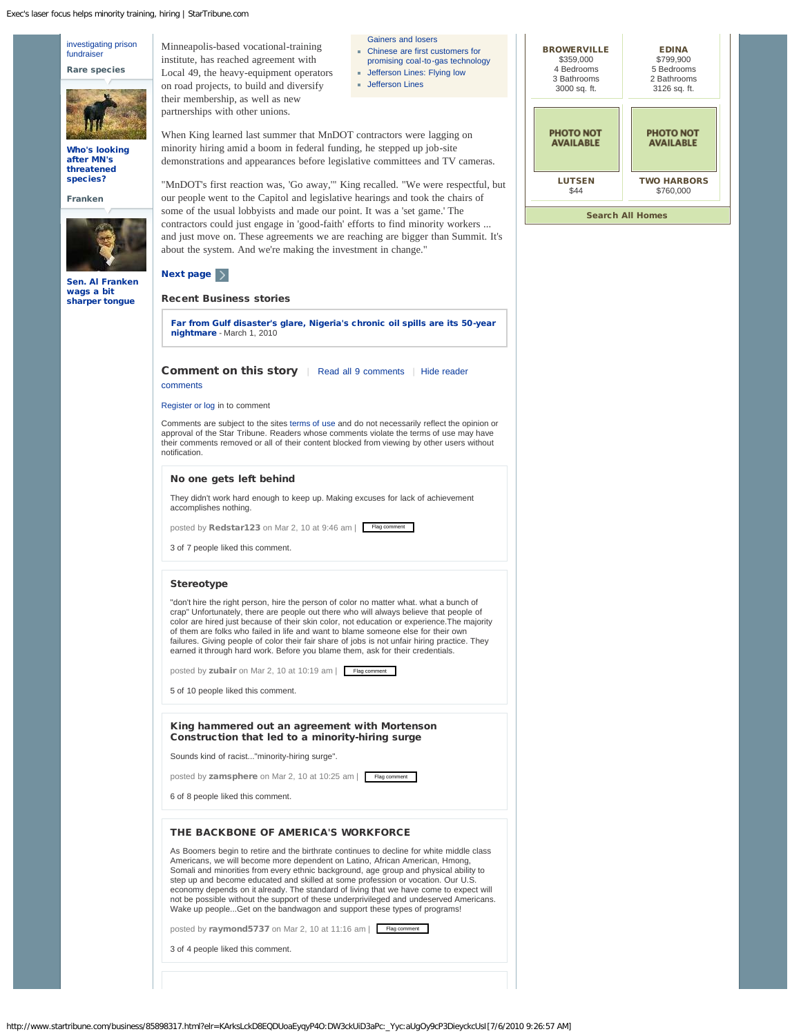Exec's laser focus helps minority training, hiring | StarTribune.com